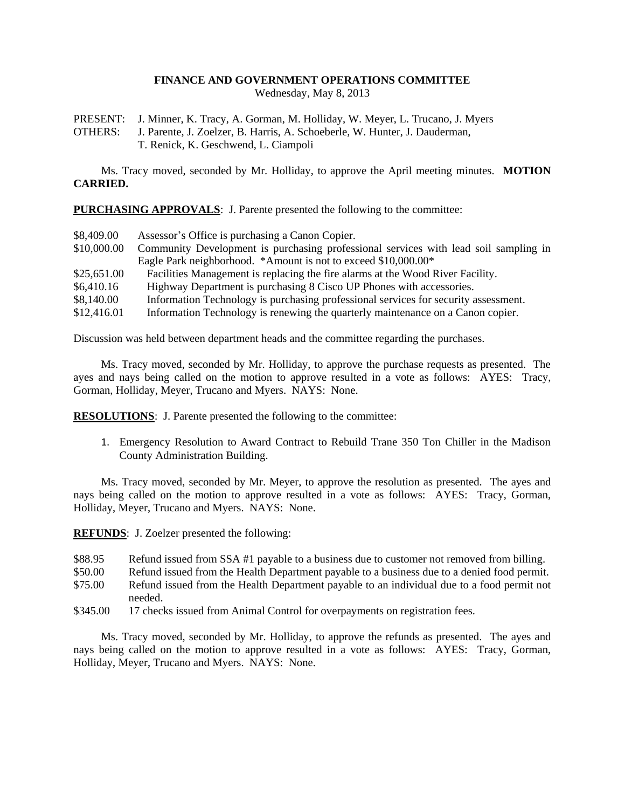## **FINANCE AND GOVERNMENT OPERATIONS COMMITTEE**

Wednesday, May 8, 2013

PRESENT: J. Minner, K. Tracy, A. Gorman, M. Holliday, W. Meyer, L. Trucano, J. Myers

OTHERS: J. Parente, J. Zoelzer, B. Harris, A. Schoeberle, W. Hunter, J. Dauderman, T. Renick, K. Geschwend, L. Ciampoli

Ms. Tracy moved, seconded by Mr. Holliday, to approve the April meeting minutes. **MOTION CARRIED.**

**PURCHASING APPROVALS**: J. Parente presented the following to the committee:

| \$8,409.00  | Assessor's Office is purchasing a Canon Copier.                                      |
|-------------|--------------------------------------------------------------------------------------|
| \$10,000.00 | Community Development is purchasing professional services with lead soil sampling in |
|             | Eagle Park neighborhood. *Amount is not to exceed \$10,000.00*                       |
| \$25,651.00 | Facilities Management is replacing the fire alarms at the Wood River Facility.       |
| \$6,410.16  | Highway Department is purchasing 8 Cisco UP Phones with accessories.                 |
| \$8,140.00  | Information Technology is purchasing professional services for security assessment.  |
| \$12,416.01 | Information Technology is renewing the quarterly maintenance on a Canon copier.      |

Discussion was held between department heads and the committee regarding the purchases.

Ms. Tracy moved, seconded by Mr. Holliday, to approve the purchase requests as presented. The ayes and nays being called on the motion to approve resulted in a vote as follows: AYES: Tracy, Gorman, Holliday, Meyer, Trucano and Myers. NAYS: None.

**RESOLUTIONS**: J. Parente presented the following to the committee:

1. Emergency Resolution to Award Contract to Rebuild Trane 350 Ton Chiller in the Madison County Administration Building.

Ms. Tracy moved, seconded by Mr. Meyer, to approve the resolution as presented. The ayes and nays being called on the motion to approve resulted in a vote as follows: AYES: Tracy, Gorman, Holliday, Meyer, Trucano and Myers. NAYS: None.

**REFUNDS**: J. Zoelzer presented the following:

- \$88.95 Refund issued from SSA #1 payable to a business due to customer not removed from billing.
- \$50.00 Refund issued from the Health Department payable to a business due to a denied food permit.
- \$75.00 Refund issued from the Health Department payable to an individual due to a food permit not needed.
- \$345.00 17 checks issued from Animal Control for overpayments on registration fees.

Ms. Tracy moved, seconded by Mr. Holliday, to approve the refunds as presented. The ayes and nays being called on the motion to approve resulted in a vote as follows: AYES: Tracy, Gorman, Holliday, Meyer, Trucano and Myers. NAYS: None.